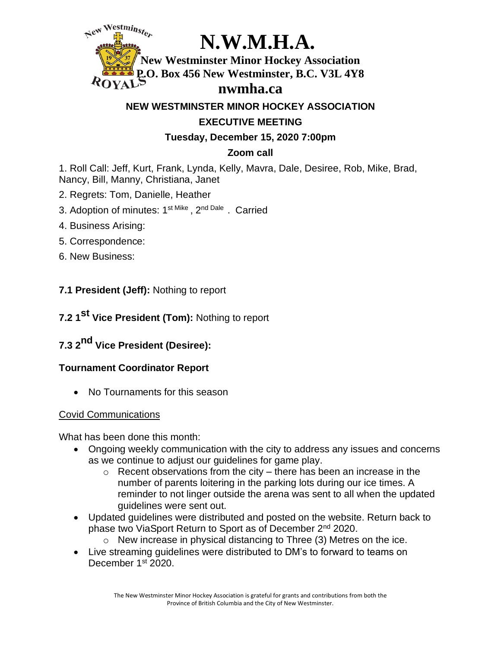

**NEW WESTMINSTER MINOR HOCKEY ASSOCIATION**

# **EXECUTIVE MEETING**

**Tuesday, December 15, 2020 7:00pm**

# **Zoom call**

1. Roll Call: Jeff, Kurt, Frank, Lynda, Kelly, Mavra, Dale, Desiree, Rob, Mike, Brad, Nancy, Bill, Manny, Christiana, Janet

- 2. Regrets: Tom, Danielle, Heather
- 3. Adoption of minutes: 1st Mike , 2<sup>nd Dale</sup>. Carried
- 4. Business Arising:
- 5. Correspondence:
- 6. New Business:

# **7.1 President (Jeff):** Nothing to report

**7.2 1 st Vice President (Tom):** Nothing to report

# **7.3 2 nd Vice President (Desiree):**

# **Tournament Coordinator Report**

• No Tournaments for this season

#### Covid Communications

What has been done this month:

- Ongoing weekly communication with the city to address any issues and concerns as we continue to adjust our guidelines for game play.
	- $\circ$  Recent observations from the city there has been an increase in the number of parents loitering in the parking lots during our ice times. A reminder to not linger outside the arena was sent to all when the updated guidelines were sent out.
- Updated guidelines were distributed and posted on the website. Return back to phase two ViaSport Return to Sport as of December 2nd 2020.
	- o New increase in physical distancing to Three (3) Metres on the ice.
- Live streaming guidelines were distributed to DM's to forward to teams on December 1<sup>st</sup> 2020.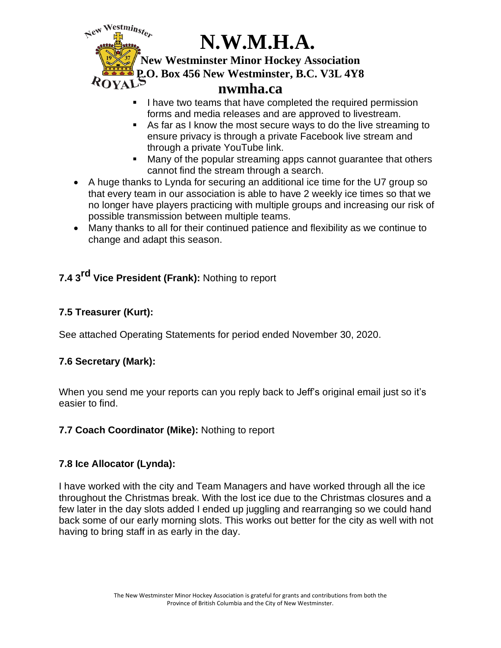

- **.** I have two teams that have completed the required permission forms and media releases and are approved to livestream.
- As far as I know the most secure ways to do the live streaming to ensure privacy is through a private Facebook live stream and through a private YouTube link.
- Many of the popular streaming apps cannot guarantee that others cannot find the stream through a search.
- A huge thanks to Lynda for securing an additional ice time for the U7 group so that every team in our association is able to have 2 weekly ice times so that we no longer have players practicing with multiple groups and increasing our risk of possible transmission between multiple teams.
- Many thanks to all for their continued patience and flexibility as we continue to change and adapt this season.

# **7.4 3 rd Vice President (Frank):** Nothing to report

### **7.5 Treasurer (Kurt):**

See attached Operating Statements for period ended November 30, 2020.

# **7.6 Secretary (Mark):**

When you send me your reports can you reply back to Jeff's original email just so it's easier to find.

#### **7.7 Coach Coordinator (Mike):** Nothing to report

#### **7.8 Ice Allocator (Lynda):**

I have worked with the city and Team Managers and have worked through all the ice throughout the Christmas break. With the lost ice due to the Christmas closures and a few later in the day slots added I ended up juggling and rearranging so we could hand back some of our early morning slots. This works out better for the city as well with not having to bring staff in as early in the day.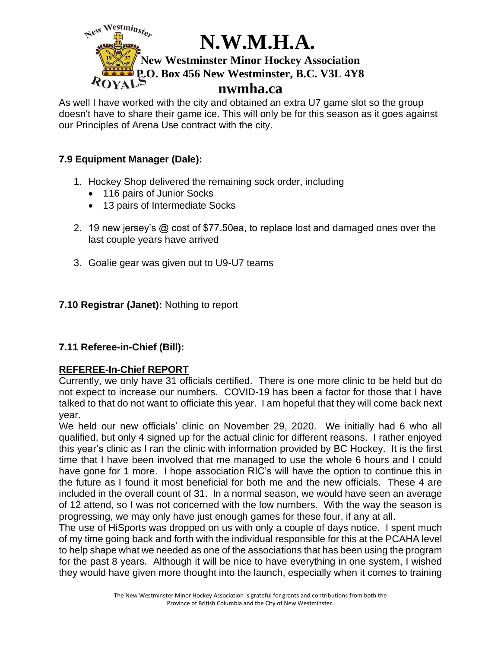

As well I have worked with the city and obtained an extra U7 game slot so the group doesn't have to share their game ice. This will only be for this season as it goes against our Principles of Arena Use contract with the city.

#### **7.9 Equipment Manager (Dale):**

- 1. Hockey Shop delivered the remaining sock order, including
	- 116 pairs of Junior Socks
	- 13 pairs of Intermediate Socks
- 2. 19 new jersey's @ cost of \$77.50ea, to replace lost and damaged ones over the last couple years have arrived
- 3. Goalie gear was given out to U9-U7 teams

# **7.10 Registrar (Janet):** Nothing to report

# **7.11 Referee-in-Chief (Bill):**

#### **REFEREE-In-Chief REPORT**

Currently, we only have 31 officials certified. There is one more clinic to be held but do not expect to increase our numbers. COVID-19 has been a factor for those that I have talked to that do not want to officiate this year. I am hopeful that they will come back next year.

We held our new officials' clinic on November 29, 2020. We initially had 6 who all qualified, but only 4 signed up for the actual clinic for different reasons. I rather enjoyed this year's clinic as I ran the clinic with information provided by BC Hockey. It is the first time that I have been involved that me managed to use the whole 6 hours and I could have gone for 1 more. I hope association RIC's will have the option to continue this in the future as I found it most beneficial for both me and the new officials. These 4 are included in the overall count of 31. In a normal season, we would have seen an average of 12 attend, so I was not concerned with the low numbers. With the way the season is progressing, we may only have just enough games for these four, if any at all.

The use of HiSports was dropped on us with only a couple of days notice. I spent much of my time going back and forth with the individual responsible for this at the PCAHA level to help shape what we needed as one of the associations that has been using the program for the past 8 years. Although it will be nice to have everything in one system, I wished they would have given more thought into the launch, especially when it comes to training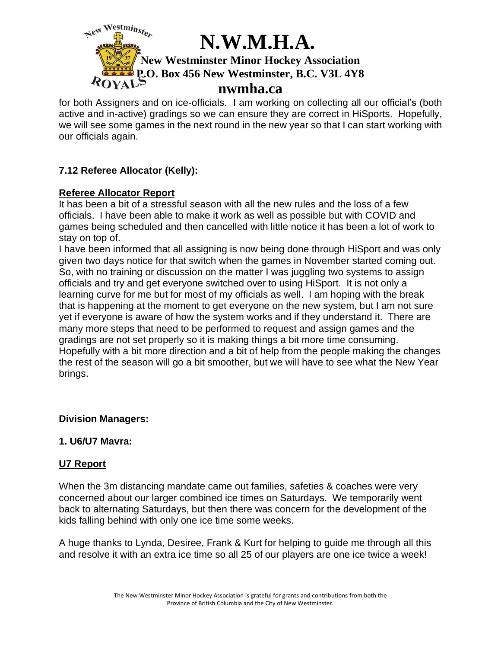

for both Assigners and on ice-officials. I am working on collecting all our official's (both active and in-active) gradings so we can ensure they are correct in HiSports. Hopefully, we will see some games in the next round in the new year so that I can start working with our officials again.

### **7.12 Referee Allocator (Kelly):**

#### **Referee Allocator Report**

It has been a bit of a stressful season with all the new rules and the loss of a few officials. I have been able to make it work as well as possible but with COVID and games being scheduled and then cancelled with little notice it has been a lot of work to stay on top of.

I have been informed that all assigning is now being done through HiSport and was only given two days notice for that switch when the games in November started coming out. So, with no training or discussion on the matter I was juggling two systems to assign officials and try and get everyone switched over to using HiSport. It is not only a learning curve for me but for most of my officials as well. I am hoping with the break that is happening at the moment to get everyone on the new system, but I am not sure yet if everyone is aware of how the system works and if they understand it. There are many more steps that need to be performed to request and assign games and the gradings are not set properly so it is making things a bit more time consuming. Hopefully with a bit more direction and a bit of help from the people making the changes the rest of the season will go a bit smoother, but we will have to see what the New Year brings.

#### **Division Managers:**

#### **1. U6/U7 Mavra:**

#### **U7 Report**

When the 3m distancing mandate came out families, safeties & coaches were very concerned about our larger combined ice times on Saturdays. We temporarily went back to alternating Saturdays, but then there was concern for the development of the kids falling behind with only one ice time some weeks.

A huge thanks to Lynda, Desiree, Frank & Kurt for helping to guide me through all this and resolve it with an extra ice time so all 25 of our players are one ice twice a week!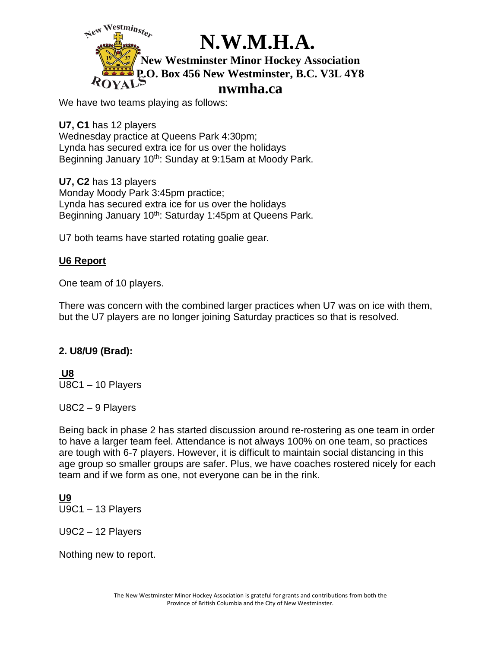

We have two teams playing as follows:

**U7, C1** has 12 players Wednesday practice at Queens Park 4:30pm; Lynda has secured extra ice for us over the holidays Beginning January 10<sup>th</sup>: Sunday at 9:15am at Moody Park.

**U7, C2** has 13 players Monday Moody Park 3:45pm practice; Lynda has secured extra ice for us over the holidays Beginning January 10<sup>th</sup>: Saturday 1:45pm at Queens Park.

U7 both teams have started rotating goalie gear.

#### **U6 Report**

One team of 10 players.

There was concern with the combined larger practices when U7 was on ice with them, but the U7 players are no longer joining Saturday practices so that is resolved.

#### **2. U8/U9 (Brad):**

**U8** U8C1 – 10 Players

U8C2 – 9 Players

Being back in phase 2 has started discussion around re-rostering as one team in order to have a larger team feel. Attendance is not always 100% on one team, so practices are tough with 6-7 players. However, it is difficult to maintain social distancing in this age group so smaller groups are safer. Plus, we have coaches rostered nicely for each team and if we form as one, not everyone can be in the rink.

**U9** U9C1 – 13 Players

U9C2 – 12 Players

Nothing new to report.